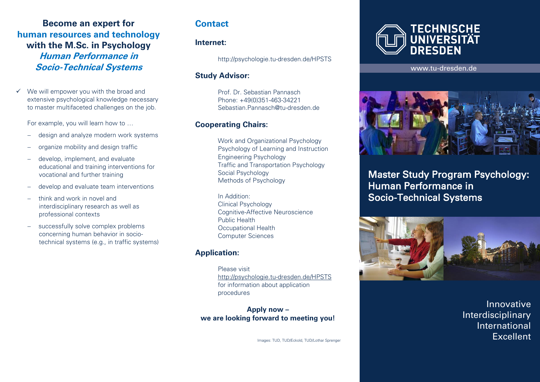**Become an expert for human resources and technology with the M.Sc. in Psychology Human Performance in Socio-Technical Systems**

 $\checkmark$  We will empower you with the broad and extensive psychological knowledge necessary to master multifaceted challenges on the job.

For example, you will learn how to …

- design and analyze modern work systems
- organize mobility and design traffic
- develop, implement, and evaluate educational and training interventions for vocational and further training
- develop and evaluate team interventions
- think and work in novel and interdisciplinary research as well as professional contexts
- successfully solve complex problems concerning human behavior in sociotechnical systems (e.g., in traffic systems)

## **Contact**

#### **Internet:**

http://psychologie.tu-dresden.de/HPSTS

#### **Study Advisor:**

Prof. Dr. Sebastian Pannasch Phone: +49(0)351-463-34221 Sebastian.Pannasch@tu-dresden.de

### **Cooperating Chairs:**

Work and Organizational Psychology Psychology of Learning and Instruction Engineering Psychology Traffic and Transportation Psychology Social Psychology Methods of Psychology

In Addition: Clinical Psychology Cognitive-Affective Neuroscience Public Health Occupational Health Computer Sciences

## **Application:**

Please visit http://psychologie.tu-dresden.de/HPSTS for information about application procedures

**Apply now – we are looking forward to meeting you!**

Images: TUD, TUD/Eckold, TUD/Lothar Sprenger



Ī

www.tu-dresden.de



 Master Study Program Psychology: Human Performance in Socio-Technical Systems



Innovative Interdisciplinary International **Excellent**